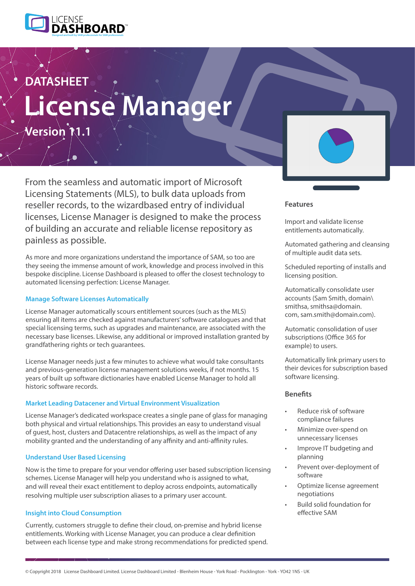

# **License Manager DATASHEET**

**Version 11.1**

From the seamless and automatic import of Microsoft Licensing Statements (MLS), to bulk data uploads from reseller records, to the wizardbased entry of individual licenses, License Manager is designed to make the process of building an accurate and reliable license repository as painless as possible.

As more and more organizations understand the importance of SAM, so too are they seeing the immense amount of work, knowledge and process involved in this bespoke discipline. License Dashboard is pleased to offer the closest technology to automated licensing perfection: License Manager.

## **Manage Software Licenses Automatically**

License Manager automatically scours entitlement sources (such as the MLS) ensuring all items are checked against manufacturers' software catalogues and that special licensing terms, such as upgrades and maintenance, are associated with the necessary base licenses. Likewise, any additional or improved installation granted by grandfathering rights or tech guarantees.

License Manager needs just a few minutes to achieve what would take consultants and previous-generation license management solutions weeks, if not months. 15 years of built up software dictionaries have enabled License Manager to hold all historic software records.

### **Market Leading Datacener and Virtual Environment Visualization**

License Manager's dedicated workspace creates a single pane of glass for managing both physical and virtual relationships. This provides an easy to understand visual of guest, host, clusters and Datacentre relationships, as well as the impact of any mobility granted and the understanding of any affinity and anti-affinity rules.

## **Understand User Based Licensing**

Now is the time to prepare for your vendor offering user based subscription licensing schemes. License Manager will help you understand who is assigned to what, and will reveal their exact entitlement to deploy across endpoints, automatically resolving multiple user subscription aliases to a primary user account.

## **Insight into Cloud Consumption**

Currently, customers struggle to define their cloud, on-premise and hybrid license entitlements. Working with License Manager, you can produce a clear definition between each license type and make strong recommendations for predicted spend.



### **Features**

Import and validate license entitlements automatically.

Automated gathering and cleansing of multiple audit data sets.

Scheduled reporting of installs and licensing position.

Automatically consolidate user accounts (Sam Smith, domain\ smithsa, smithsa@domain. com, sam.smith@domain.com).

Automatic consolidation of user subscriptions (Office 365 for example) to users.

Automatically link primary users to their devices for subscription based software licensing.

## **Benefits**

- Reduce risk of software compliance failures
- Minimize over-spend on unnecessary licenses
- Improve IT budgeting and planning
- Prevent over-deployment of software
- Optimize license agreement negotiations
- Build solid foundation for effective SAM